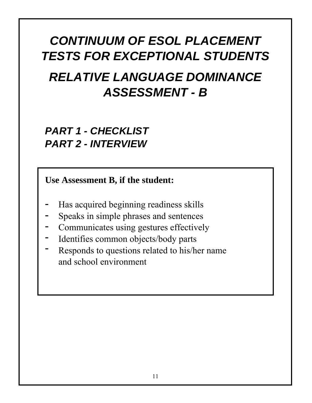# *CONTINUUM OF ESOL PLACEMENT TESTS FOR EXCEPTIONAL STUDENTS RELATIVE LANGUAGE DOMINANCE ASSESSMENT - B*

## *PART 1 - CHECKLIST PART 2 - INTERVIEW*

**Use Assessment B, if the student:**

- Has acquired beginning readiness skills **-**
- Speaks in simple phrases and sentences **-**
- Communicates using gestures effectively **-**
- Identifies common objects/body parts **-**
- Responds to questions related to his/her name and school environment **-**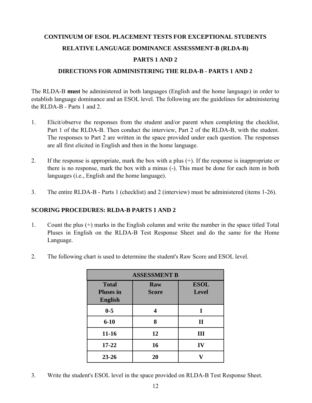### **CONTINUUM OF ESOL PLACEMENT TESTS FOR EXCEPTIONAL STUDENTS**

### **RELATIVE LANGUAGE DOMINANCE ASSESSMENT-B (RLDA-B)**

### **PARTS 1 AND 2**

### **DIRECTIONS FOR ADMINISTERING THE RLDA-B - PARTS 1 AND 2**

The RLDA-B **must** be administered in both languages (English and the home language) in order to establish language dominance and an ESOL level. The following are the guidelines for administering the RLDA-B - Parts 1 and 2.

- 1. Elicit/observe the responses from the student and/or parent when completing the checklist, Part 1 of the RLDA-B. Then conduct the interview, Part 2 of the RLDA-B, with the student. The responses to Part 2 are written in the space provided under each question. The responses are all first elicited in English and then in the home language.
- 2. If the response is appropriate, mark the box with a plus (+). If the response is inappropriate or there is no response, mark the box with a minus (-). This must be done for each item in both languages (i.e., English and the home language).
- 3. The entire RLDA-B Parts 1 (checklist) and 2 (interview) must be administered (items 1-26).

### **SCORING PROCEDURES: RLDA-B PARTS 1 AND 2**

- 1. Count the plus (+) marks in the English column and write the number in the space titled Total Pluses in English on the RLDA-B Test Response Sheet and do the same for the Home Language.
- 2. The following chart is used to determine the student's Raw Score and ESOL level.

| <b>ASSESSMENT B</b>                                |                     |                             |  |  |  |  |  |  |  |  |  |
|----------------------------------------------------|---------------------|-----------------------------|--|--|--|--|--|--|--|--|--|
| <b>Total</b><br><b>Pluses in</b><br><b>English</b> | Raw<br><b>Score</b> | <b>ESOL</b><br><b>Level</b> |  |  |  |  |  |  |  |  |  |
| $0-5$                                              |                     | 1                           |  |  |  |  |  |  |  |  |  |
| $6 - 10$                                           | 8                   | $\mathbf{I}$                |  |  |  |  |  |  |  |  |  |
| $11 - 16$                                          | 12                  | Ш                           |  |  |  |  |  |  |  |  |  |
| $17 - 22$                                          | 16                  | IV                          |  |  |  |  |  |  |  |  |  |
| $23 - 26$                                          | 20                  |                             |  |  |  |  |  |  |  |  |  |

3. Write the student's ESOL level in the space provided on RLDA-B Test Response Sheet.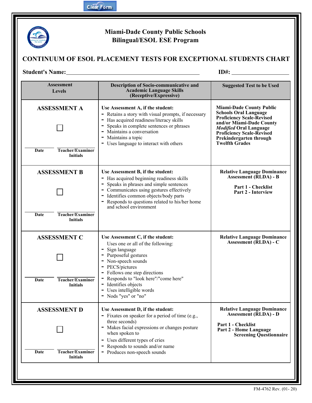

### **Miami-Dade County Public Schools Bilingual/ESOL ESE Program**

### **CONTINUUM OF ESOL PLACEMENT TESTS FOR EXCEPTIONAL STUDENTS CHART**

### **Student's Name:**

**ID#:**

| <b>Assessment</b><br><b>Levels</b>                                        | Description of Socio-communicative and<br><b>Academic Language Skills</b><br>(Receptive/Expressive)                                                                                                                                                                                                                 | <b>Suggested Test to be Used</b>                                                                                                                                                                                                                         |
|---------------------------------------------------------------------------|---------------------------------------------------------------------------------------------------------------------------------------------------------------------------------------------------------------------------------------------------------------------------------------------------------------------|----------------------------------------------------------------------------------------------------------------------------------------------------------------------------------------------------------------------------------------------------------|
| <b>ASSESSMENT A</b><br>Teacher/Examiner<br>Date<br><b>Initials</b>        | Use Assessment A, if the student:<br>- Retains a story with visual prompts, if necessary<br>- Has acquired readiness/literacy skills<br>- Speaks in complete sentences or phrases<br>- Maintains a conversation<br>- Maintains a topic<br>- Uses language to interact with others                                   | <b>Miami-Dade County Public</b><br><b>Schools Oral Language</b><br><b>Proficiency Scale-Revised</b><br>and/or Miami-Dade County<br><b>Modified Oral Language</b><br><b>Proficiency Scale-Revised</b><br>Prekindergarten through<br><b>Twelfth Grades</b> |
| <b>ASSESSMENT B</b><br><b>Teacher/Examiner</b><br>Date<br><b>Initials</b> | Use Assessment B, if the student:<br>- Has acquired beginning readiness skills<br>- Speaks in phrases and simple sentences<br>- Communicates using gestures effectively<br>- Identifies common objects/body parts<br>- Responds to questions related to his/her home<br>and school environment                      | <b>Relative Language Dominance</b><br><b>Assessment (RLDA) - B</b><br>Part 1 - Checklist<br>Part 2 - Interview                                                                                                                                           |
| <b>ASSESSMENT C</b><br>Teacher/Examiner<br>Date<br><b>Initials</b>        | Use Assessment C, if the student:<br>Uses one or all of the following:<br>- Sign language<br>- Purposeful gestures<br>- Non-speech sounds<br>- PECS/pictures<br>- Follows one step directions<br>- Responds to "look here"/"come here"<br>- Identifies objects<br>- Uses intelligible words<br>- Nods "yes" or "no" | <b>Relative Language Dominance</b><br>Assessment (RLDA) - C                                                                                                                                                                                              |
| <b>ASSESSMENT D</b><br><b>Teacher/Examiner</b><br>Date<br><b>Initials</b> | Use Assessment D, if the student:<br>- Fixates on speaker for a period of time (e.g.,<br>three seconds)<br>- Makes facial expressions or changes posture<br>when spoken to<br>Uses different types of cries<br>- Responds to sounds and/or name<br>- Produces non-speech sounds                                     | <b>Relative Language Dominance</b><br><b>Assessment (RLDA) - D</b><br>Part 1 - Checklist<br>Part 2 - Home Language<br><b>Screening Questionnaire</b>                                                                                                     |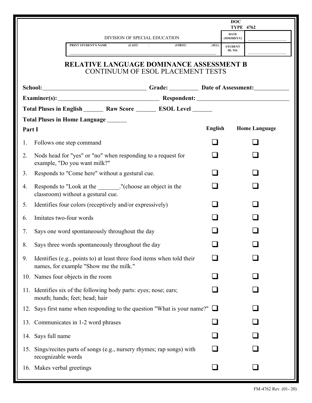|        |                            |                                                                                                                  |                               |                                   |         | <b>DOC</b><br><b>TYPE 4762</b> |                      |  |
|--------|----------------------------|------------------------------------------------------------------------------------------------------------------|-------------------------------|-----------------------------------|---------|--------------------------------|----------------------|--|
|        |                            |                                                                                                                  | DIVISION OF SPECIAL EDUCATION |                                   |         | <b>DATE</b><br>(MM/DD/YY)      |                      |  |
|        |                            | PRINT STUDENT'S NAME                                                                                             | (LAST)                        | (FIRST)                           | (M.I.)  | <b>STUDENT</b><br>ID. NO.      |                      |  |
|        |                            | <b>RELATIVE LANGUAGE DOMINANCE ASSESSMENT B</b>                                                                  |                               | CONTINUUM OF ESOL PLACEMENT TESTS |         |                                |                      |  |
|        |                            | School: Crade: Date of Assessment:                                                                               |                               |                                   |         |                                |                      |  |
|        |                            | Examiner(s): Respondent: Respondent:                                                                             |                               |                                   |         |                                |                      |  |
|        |                            | Total Pluses in English _________ Raw Score __________ ESOL Level _______                                        |                               |                                   |         |                                |                      |  |
| Part I |                            | Total Pluses in Home Language ______                                                                             |                               |                                   | English |                                | <b>Home Language</b> |  |
| 1.     |                            | Follows one step command                                                                                         |                               |                                   |         |                                |                      |  |
| 2.     |                            | Nods head for "yes" or "no" when responding to a request for<br>example, "Do you want milk?"                     |                               |                                   |         |                                |                      |  |
| 3.     |                            | Responds to "Come here" without a gestural cue.                                                                  |                               |                                   |         |                                |                      |  |
| 4.     |                            | Responds to "Look at the _______."(choose an object in the<br>classroom) without a gestural cue.                 |                               |                                   |         |                                |                      |  |
| 5.     |                            | Identifies four colors (receptively and/or expressively)                                                         |                               |                                   |         |                                |                      |  |
| 6.     | Imitates two-four words    |                                                                                                                  |                               |                                   |         |                                |                      |  |
| 7.     |                            | Says one word spontaneously throughout the day                                                                   |                               |                                   |         |                                |                      |  |
|        |                            | 8. Says three words spontaneously throughout the day                                                             |                               |                                   |         |                                |                      |  |
| 9.     |                            | Identifies (e.g., points to) at least three food items when told their<br>names, for example "Show me the milk." |                               |                                   |         |                                |                      |  |
|        |                            | 10. Names four objects in the room                                                                               |                               |                                   |         |                                |                      |  |
|        |                            | 11. Identifies six of the following body parts: eyes; nose; ears;<br>mouth; hands; feet; head; hair              |                               |                                   |         |                                |                      |  |
| 12.    |                            | Says first name when responding to the question "What is your name?"                                             |                               |                                   |         |                                |                      |  |
|        |                            | 13. Communicates in 1-2 word phrases                                                                             |                               |                                   |         |                                |                      |  |
|        | 14. Says full name         |                                                                                                                  |                               |                                   |         |                                |                      |  |
|        | recognizable words         | 15. Sings/recites parts of songs (e.g., nursery rhymes; rap songs) with                                          |                               |                                   |         |                                |                      |  |
|        | 16. Makes verbal greetings |                                                                                                                  |                               |                                   |         |                                |                      |  |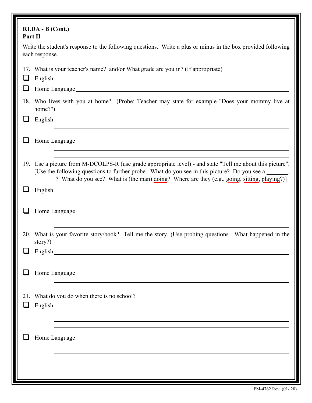| RLDA - B (Cont.)<br>Part II |                                                                                                                                                                                                                                                                                                                    |
|-----------------------------|--------------------------------------------------------------------------------------------------------------------------------------------------------------------------------------------------------------------------------------------------------------------------------------------------------------------|
| each response.              | Write the student's response to the following questions. Write a plus or minus in the box provided following                                                                                                                                                                                                       |
|                             | 17. What is your teacher's name? and/or What grade are you in? (If appropriate)<br>English and the contract of the contract of the contract of the contract of the contract of the contract of the contract of the contract of the contract of the contract of the contract of the contract of the contract of th  |
|                             |                                                                                                                                                                                                                                                                                                                    |
| home?")                     | 18. Who lives with you at home? (Probe: Teacher may state for example "Does your mommy live at                                                                                                                                                                                                                     |
|                             | English experience and the contract of the contract of the contract of the contract of the contract of the contract of the contract of the contract of the contract of the contract of the contract of the contract of the con                                                                                     |
|                             |                                                                                                                                                                                                                                                                                                                    |
|                             | Home Language                                                                                                                                                                                                                                                                                                      |
|                             |                                                                                                                                                                                                                                                                                                                    |
|                             | 19. Use a picture from M-DCOLPS-R (use grade appropriate level) - and state "Tell me about this picture".<br>[Use the following questions to further probe. What do you see in this picture? Do you see a ______,<br>[? What do you see? What is (the man) doing? Where are they (e.g., going, sitting, playing?)] |
|                             |                                                                                                                                                                                                                                                                                                                    |
|                             | English<br>,我们也不会有什么。""我们的人,我们也不会有什么?""我们的人,我们也不会有什么?""我们的人,我们也不会有什么?""我们的人,我们也不会有什么?""我们的人                                                                                                                                                                                                                        |
|                             | Home Language                                                                                                                                                                                                                                                                                                      |
| story?)                     | 20. What is your favorite story/book? Tell me the story. (Use probing questions. What happened in the                                                                                                                                                                                                              |
|                             | English and the same state of the state of the state of the state of the state of the state of the state of the state of the state of the state of the state of the state of the state of the state of the state of the state                                                                                      |
|                             |                                                                                                                                                                                                                                                                                                                    |
|                             | Home Language                                                                                                                                                                                                                                                                                                      |
| 21.<br>ப                    | What do you do when there is no school?<br>English                                                                                                                                                                                                                                                                 |
|                             |                                                                                                                                                                                                                                                                                                                    |
|                             | Home Language                                                                                                                                                                                                                                                                                                      |
|                             |                                                                                                                                                                                                                                                                                                                    |
|                             |                                                                                                                                                                                                                                                                                                                    |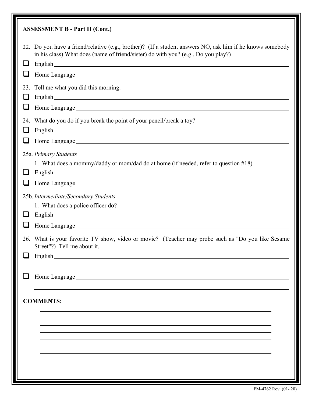| <b>ASSESSMENT B - Part II (Cont.)</b>                                                                                                                                                                                                                                                                                                                                                                                                                                                                                                               |
|-----------------------------------------------------------------------------------------------------------------------------------------------------------------------------------------------------------------------------------------------------------------------------------------------------------------------------------------------------------------------------------------------------------------------------------------------------------------------------------------------------------------------------------------------------|
| 22. Do you have a friend/relative (e.g., brother)? (If a student answers NO, ask him if he knows somebody<br>in his class) What does (name of friend/sister) do with you? (e.g., Do you play?)<br>English experience and the contract of the contract of the contract of the contract of the contract of the contract of the contract of the contract of the contract of the contract of the contract of the contract of the con<br>⊔                                                                                                               |
| Tell me what you did this morning.<br>23.<br>English experience and the contract of the contract of the contract of the contract of the contract of the contract of the contract of the contract of the contract of the contract of the contract of the contract of the con<br>$\sqcup$                                                                                                                                                                                                                                                             |
| 24. What do you do if you break the point of your pencil/break a toy?<br>English experience and the contract of the contract of the contract of the contract of the contract of the contract of the contract of the contract of the contract of the contract of the contract of the contract of the con<br>$\Box$<br>Home Language experience and the contract of the contract of the contract of the contract of the contract of the contract of the contract of the contract of the contract of the contract of the contract of the contract of t |
| 25a. Primary Students<br>1. What does a mommy/daddy or mom/dad do at home (if needed, refer to question #18)<br>English<br>ப                                                                                                                                                                                                                                                                                                                                                                                                                        |
| 25b. Intermediate/Secondary Students<br>1. What does a police officer do?<br>ப<br>26. What is your favorite TV show, video or movie? (Teacher may probe such as "Do you like Sesame                                                                                                                                                                                                                                                                                                                                                                 |
| Street"?) Tell me about it.<br>English                                                                                                                                                                                                                                                                                                                                                                                                                                                                                                              |
| Home Language<br><b>COMMENTS:</b>                                                                                                                                                                                                                                                                                                                                                                                                                                                                                                                   |
|                                                                                                                                                                                                                                                                                                                                                                                                                                                                                                                                                     |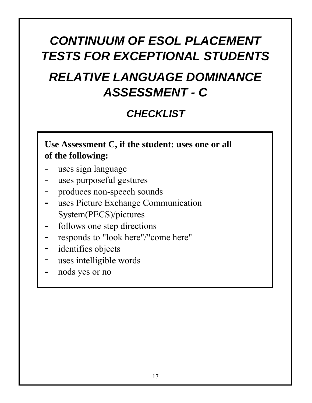## *CONTINUUM OF ESOL PLACEMENT TESTS FOR EXCEPTIONAL STUDENTS*

# *RELATIVE LANGUAGE DOMINANCE ASSESSMENT - C*

## *CHECKLIST*

**Use Assessment C, if the student: uses one or all of the following:**

- uses sign language **-**
- uses purposeful gestures **-**
- produces non-speech sounds **-**
- uses Picture Exchange Communication System(PECS)/pictures **-**
- follows one step directions **-**
- responds to "look here"/"come here" **-**
- identifies objects **-**
- uses intelligible words **-**
- nods yes or no **-**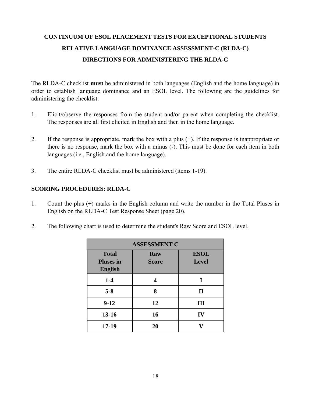### **CONTINUUM OF ESOL PLACEMENT TESTS FOR EXCEPTIONAL STUDENTS RELATIVE LANGUAGE DOMINANCE ASSESSMENT-C (RLDA-C) DIRECTIONS FOR ADMINISTERING THE RLDA-C**

The RLDA-C checklist **must** be administered in both languages (English and the home language) in order to establish language dominance and an ESOL level. The following are the guidelines for administering the checklist:

- 1. Elicit/observe the responses from the student and/or parent when completing the checklist. The responses are all first elicited in English and then in the home language.
- 2. If the response is appropriate, mark the box with a plus (+). If the response is inappropriate or there is no response, mark the box with a minus (-). This must be done for each item in both languages (i.e., English and the home language).
- 3. The entire RLDA-C checklist must be administered (items 1-19).

### **SCORING PROCEDURES: RLDA-C**

- 1. Count the plus (+) marks in the English column and write the number in the Total Pluses in English on the RLDA-C Test Response Sheet (page 20).
- 2. The following chart is used to determine the student's Raw Score and ESOL level.

| <b>ASSESSMENT C</b>                                |                     |                             |  |  |  |  |  |  |  |  |  |
|----------------------------------------------------|---------------------|-----------------------------|--|--|--|--|--|--|--|--|--|
| <b>Total</b><br><b>Pluses in</b><br><b>English</b> | Raw<br><b>Score</b> | <b>ESOL</b><br><b>Level</b> |  |  |  |  |  |  |  |  |  |
| $1-4$                                              | Δ                   | I                           |  |  |  |  |  |  |  |  |  |
| $5 - 8$                                            | 8                   | $\mathbf{I}$                |  |  |  |  |  |  |  |  |  |
| $9-12$                                             | 12                  | Ш                           |  |  |  |  |  |  |  |  |  |
| $13 - 16$                                          | 16                  | IV                          |  |  |  |  |  |  |  |  |  |
| $17-19$                                            | 20                  |                             |  |  |  |  |  |  |  |  |  |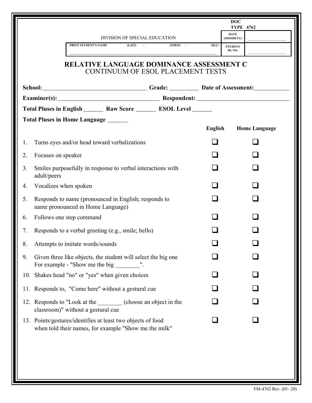|    |                       |                                                                                                                      |                               |                                          |         | <b>DOC</b><br><b>TYPE 4762</b> |                      |  |
|----|-----------------------|----------------------------------------------------------------------------------------------------------------------|-------------------------------|------------------------------------------|---------|--------------------------------|----------------------|--|
|    |                       |                                                                                                                      | DIVISION OF SPECIAL EDUCATION |                                          |         | <b>DATE</b><br>(MM/DD/YY)      |                      |  |
|    |                       | PRINT STUDENT'S NAME                                                                                                 | (LAST)                        | (FIRST)                                  | (M.L.)  | <b>STUDENT</b><br>ID. NO.      |                      |  |
|    |                       | <b>RELATIVE LANGUAGE DOMINANCE ASSESSMENT C</b>                                                                      |                               | <b>CONTINUUM OF ESOL PLACEMENT TESTS</b> |         |                                |                      |  |
|    |                       | School: Crade: Date of Assessment:                                                                                   |                               |                                          |         |                                |                      |  |
|    |                       | Examiner(s): Respondent: Respondent:                                                                                 |                               |                                          |         |                                |                      |  |
|    |                       | Total Pluses in English _________ Raw Score __________ ESOL Level _______                                            |                               |                                          |         |                                |                      |  |
|    |                       | Total Pluses in Home Language ______                                                                                 |                               |                                          | English |                                | <b>Home Language</b> |  |
| 1. |                       | Turns eyes and/or head toward verbalizations                                                                         |                               |                                          |         |                                |                      |  |
| 2. | Focuses on speaker    |                                                                                                                      |                               |                                          |         |                                |                      |  |
| 3. | adult/peers           | Smiles purposefully in response to verbal interactions with                                                          |                               |                                          |         |                                |                      |  |
| 4. | Vocalizes when spoken |                                                                                                                      |                               |                                          |         |                                |                      |  |
| 5. |                       | Responds to name (pronounced in English; responds to<br>name pronounced in Home Language)                            |                               |                                          |         |                                |                      |  |
| 6. |                       | Follows one step command                                                                                             |                               |                                          |         |                                |                      |  |
| 7. |                       | Responds to a verbal greeting (e.g., smile; hello)                                                                   |                               |                                          |         |                                |                      |  |
| 8. |                       | Attempts to imitate words/sounds                                                                                     |                               |                                          |         |                                |                      |  |
| 9. |                       | Given three like objects, the student will select the big one<br>For example - "Show me the big _________".          |                               |                                          |         |                                |                      |  |
|    |                       | 10. Shakes head "no" or "yes" when given choices                                                                     |                               |                                          |         |                                |                      |  |
|    |                       | 11. Responds to, "Come here" without a gestural cue                                                                  |                               |                                          |         |                                |                      |  |
|    |                       | 12. Responds to "Look at the subseteur (choose an object in the<br>classroom)" without a gestural cue                |                               |                                          |         |                                |                      |  |
|    |                       | 13. Points/gestures/identifies at least two objects of food<br>when told their names, for example "Show me the milk" |                               |                                          |         |                                |                      |  |
|    |                       |                                                                                                                      |                               |                                          |         |                                |                      |  |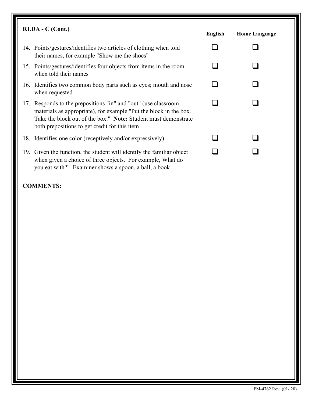| $RLDA - C$ (Cont.)                                                                                                                                                                                                                                     | <b>English</b> | <b>Home Language</b> |  |
|--------------------------------------------------------------------------------------------------------------------------------------------------------------------------------------------------------------------------------------------------------|----------------|----------------------|--|
| 14. Points/gestures/identifies two articles of clothing when told<br>their names, for example "Show me the shoes"                                                                                                                                      |                |                      |  |
| 15. Points/gestures/identifies four objects from items in the room<br>when told their names                                                                                                                                                            |                |                      |  |
| 16. Identifies two common body parts such as eyes; mouth and nose<br>when requested                                                                                                                                                                    |                |                      |  |
| 17. Responds to the prepositions "in" and "out" (use classroom<br>materials as appropriate), for example "Put the block in the box.<br>Take the block out of the box." Note: Student must demonstrate<br>both prepositions to get credit for this item |                |                      |  |
| 18. Identifies one color (receptively and/or expressively)                                                                                                                                                                                             |                |                      |  |
| 19. Given the function, the student will identify the familiar object<br>when given a choice of three objects. For example, What do<br>you eat with?" Examiner shows a spoon, a ball, a book                                                           |                |                      |  |

### **COMMENTS:**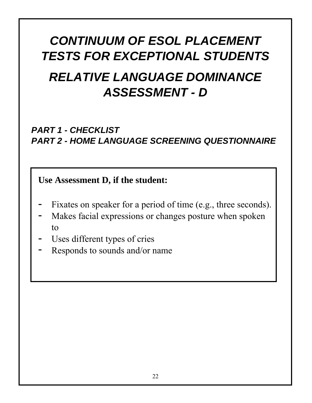# *CONTINUUM OF ESOL PLACEMENT TESTS FOR EXCEPTIONAL STUDENTS RELATIVE LANGUAGE DOMINANCE ASSESSMENT - D*

## *PART 1 - CHECKLIST PART 2 - HOME LANGUAGE SCREENING QUESTIONNAIRE*

**Use Assessment D, if the student:**

- Fixates on speaker for a period of time (e.g., three seconds). **-**
- Makes facial expressions or changes posture when spoken to **-**
- Uses different types of cries **-**
- Responds to sounds and/or name **-**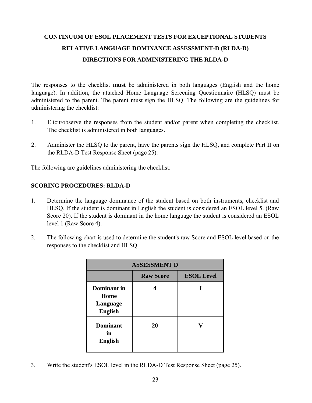### **CONTINUUM OF ESOL PLACEMENT TESTS FOR EXCEPTIONAL STUDENTS RELATIVE LANGUAGE DOMINANCE ASSESSMENT-D (RLDA-D) DIRECTIONS FOR ADMINISTERING THE RLDA-D**

The responses to the checklist **must** be administered in both languages (English and the home language). In addition, the attached Home Language Screening Questionnaire (HLSQ) must be administered to the parent. The parent must sign the HLSQ. The following are the guidelines for administering the checklist:

- 1. Elicit/observe the responses from the student and/or parent when completing the checklist. The checklist is administered in both languages.
- 2. Administer the HLSQ to the parent, have the parents sign the HLSQ, and complete Part II on the RLDA-D Test Response Sheet (page 25).

The following are guidelines administering the checklist:

### **SCORING PROCEDURES: RLDA-D**

- 1. Determine the language dominance of the student based on both instruments, checklist and HLSQ. If the student is dominant in English the student is considered an ESOL level 5. (Raw Score 20). If the student is dominant in the home language the student is considered an ESOL level 1 (Raw Score 4).
- 2. The following chart is used to determine the student's raw Score and ESOL level based on the responses to the checklist and HLSQ.

| <b>ASSESSMENT D</b>                               |                  |                   |  |  |  |  |  |  |  |  |  |
|---------------------------------------------------|------------------|-------------------|--|--|--|--|--|--|--|--|--|
|                                                   | <b>Raw Score</b> | <b>ESOL Level</b> |  |  |  |  |  |  |  |  |  |
| Dominant in<br>Home<br>Language<br><b>English</b> |                  |                   |  |  |  |  |  |  |  |  |  |
| <b>Dominant</b><br>in<br><b>English</b>           | 20               |                   |  |  |  |  |  |  |  |  |  |

3. Write the student's ESOL level in the RLDA-D Test Response Sheet (page 25).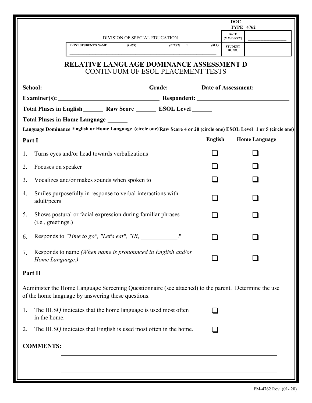|                          |                                                                                                                                                            |               | <b>DOC</b><br><b>TYPE 4762</b> |                      |  |  |
|--------------------------|------------------------------------------------------------------------------------------------------------------------------------------------------------|---------------|--------------------------------|----------------------|--|--|
|                          | DIVISION OF SPECIAL EDUCATION                                                                                                                              |               | <b>DATE</b><br>(MM/DD/YY)      |                      |  |  |
|                          | (LAST)<br>PRINT STUDENT'S NAME<br>(FIRST)                                                                                                                  | (M.I.)        | <b>STUDENT</b><br>ID. NO.      |                      |  |  |
|                          | <b>RELATIVE LANGUAGE DOMINANCE ASSESSMENT D</b><br>CONTINUUM OF ESOL PLACEMENT TESTS                                                                       |               |                                |                      |  |  |
|                          | School: Crade: Date of Assessment:                                                                                                                         |               |                                |                      |  |  |
|                          |                                                                                                                                                            |               |                                |                      |  |  |
|                          | Total Pluses in English _________ Raw Score __________ ESOL Level _______                                                                                  |               |                                |                      |  |  |
|                          | Total Pluses in Home Language ______                                                                                                                       |               |                                |                      |  |  |
| Part I                   | Language Dominance English or Home Language (circle one) Raw Score 4 or 20 (circle one) ESOL Level 1 or 5 (circle one)                                     | English       |                                | <b>Home Language</b> |  |  |
| 1.                       | Turns eyes and/or head towards verbalizations                                                                                                              |               |                                |                      |  |  |
| Focuses on speaker<br>2. |                                                                                                                                                            |               |                                |                      |  |  |
| 3.                       | Vocalizes and/or makes sounds when spoken to                                                                                                               |               |                                |                      |  |  |
| 4.<br>adult/peers        | Smiles purposefully in response to verbal interactions with                                                                                                | $\mathcal{L}$ |                                |                      |  |  |
| 5.<br>(i.e., greetings.) | Shows postural or facial expression during familiar phrases                                                                                                |               |                                |                      |  |  |
| 6.                       | Responds to "Time to go", "Let's eat", "Hi, _____________ ."                                                                                               |               |                                |                      |  |  |
| 7.<br>Home Language.)    | Responds to name (When name is pronounced in English and/or                                                                                                |               |                                |                      |  |  |
| Part II                  |                                                                                                                                                            |               |                                |                      |  |  |
|                          | Administer the Home Language Screening Questionnaire (see attached) to the parent. Determine the use<br>of the home language by answering these questions. |               |                                |                      |  |  |
| 1.<br>in the home.       | The HLSQ indicates that the home language is used most often                                                                                               |               |                                |                      |  |  |
| 2.                       | The HLSQ indicates that English is used most often in the home.                                                                                            |               |                                |                      |  |  |
| <b>COMMENTS:</b>         |                                                                                                                                                            |               |                                |                      |  |  |
|                          |                                                                                                                                                            |               |                                |                      |  |  |
|                          |                                                                                                                                                            |               |                                |                      |  |  |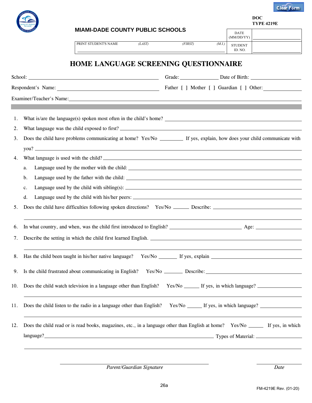

**DOC TYPE 4219E**

|                | <b>MIAMI-DADE COUNTY PUBLIC SCHOOLS</b>                                                                                                                                                                                                                                                                                                                             |        |         |        | <b>DATE</b><br>(MM/DD/YY) |                                           |
|----------------|---------------------------------------------------------------------------------------------------------------------------------------------------------------------------------------------------------------------------------------------------------------------------------------------------------------------------------------------------------------------|--------|---------|--------|---------------------------|-------------------------------------------|
|                | PRINT STUDENT'S NAME                                                                                                                                                                                                                                                                                                                                                | (LAST) | (FIRST) | (M.I.) | <b>STUDENT</b><br>ID. NO. |                                           |
|                | <b>HOME LANGUAGE SCREENING QUESTIONNAIRE</b>                                                                                                                                                                                                                                                                                                                        |        |         |        |                           |                                           |
|                |                                                                                                                                                                                                                                                                                                                                                                     |        |         |        |                           | Grade: Date of Birth:                     |
|                |                                                                                                                                                                                                                                                                                                                                                                     |        |         |        |                           | Father [ ] Mother [ ] Guardian [ ] Other: |
|                | Examiner/Teacher's Name: 1988. Name: 1988. The Second State of the Second State of the Second State of the Second State of the Second State of the Second State of the Second State of the Second State of the Second State of                                                                                                                                      |        |         |        |                           |                                           |
| 1.             |                                                                                                                                                                                                                                                                                                                                                                     |        |         |        |                           |                                           |
| 2.             |                                                                                                                                                                                                                                                                                                                                                                     |        |         |        |                           |                                           |
| 3.             | Does the child have problems communicating at home? Yes/No ________ If yes, explain, how does your child communicate with                                                                                                                                                                                                                                           |        |         |        |                           |                                           |
|                | you?                                                                                                                                                                                                                                                                                                                                                                |        |         |        |                           |                                           |
| 4.             | What language is used with the child?                                                                                                                                                                                                                                                                                                                               |        |         |        |                           |                                           |
| a.             |                                                                                                                                                                                                                                                                                                                                                                     |        |         |        |                           |                                           |
| b.             |                                                                                                                                                                                                                                                                                                                                                                     |        |         |        |                           |                                           |
| c.             |                                                                                                                                                                                                                                                                                                                                                                     |        |         |        |                           |                                           |
| d.             |                                                                                                                                                                                                                                                                                                                                                                     |        |         |        |                           |                                           |
| 5 <sub>1</sub> |                                                                                                                                                                                                                                                                                                                                                                     |        |         |        |                           |                                           |
| 6.             | In what country, and when, was the child first introduced to English? Age: Age: Age:                                                                                                                                                                                                                                                                                |        |         |        |                           |                                           |
| 7.             | Describe the setting in which the child first learned English.                                                                                                                                                                                                                                                                                                      |        |         |        |                           |                                           |
|                | 8. Has the child been taught in his/her native language? Yes/No _______ If yes, explain ____________                                                                                                                                                                                                                                                                |        |         |        |                           |                                           |
|                | 9. Is the child frustrated about communicating in English?                                                                                                                                                                                                                                                                                                          |        |         |        |                           |                                           |
| 10.            | Does the child watch television in a language other than English? Yes/No ______ If yes, in which language?                                                                                                                                                                                                                                                          |        |         |        |                           |                                           |
| 11.            | <u> 1989 - Johann Stoff, amerikansk politiker (d. 1989)</u>                                                                                                                                                                                                                                                                                                         |        |         |        |                           |                                           |
| 12.            | Does the child read or is read books, magazines, etc., in a language other than English at home? Yes/No ________ If yes, in which<br>language?<br>Types of Material:  Types of Material:  Types of Material:  Types of Material:  Types of Material:  Types of Material:  Types of Material:  Types of Material:  Types of Material:  Types of Material:   Types of |        |         |        |                           |                                           |

*Parent/Guardian Signature*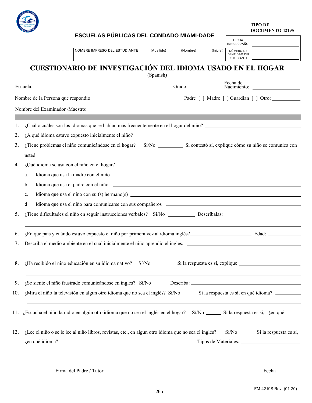

**TIPO DE DOCUMENTO 4219S**

|     |    |  |                                                |  |  |  |                               |           |            |          | <b>ESCUELAS PUBLICAS DEL CONDADO MIAMI-DADE</b> |           |                                                                                                                                                                                                                                |  |                                                                                                                                                                                                                                |
|-----|----|--|------------------------------------------------|--|--|--|-------------------------------|-----------|------------|----------|-------------------------------------------------|-----------|--------------------------------------------------------------------------------------------------------------------------------------------------------------------------------------------------------------------------------|--|--------------------------------------------------------------------------------------------------------------------------------------------------------------------------------------------------------------------------------|
|     |    |  |                                                |  |  |  |                               |           |            |          |                                                 |           | <b>FECHA</b><br>(MES/DÍA/AÑO)                                                                                                                                                                                                  |  |                                                                                                                                                                                                                                |
|     |    |  |                                                |  |  |  | NOMBRE IMPRESO DEL ESTUDIANTE |           | (Apellido) | (Nombre) |                                                 | (Inicial) | NÚMERO DE<br><b>IDENTIDAD DEL</b><br><b>ESTUDIANTE</b>                                                                                                                                                                         |  |                                                                                                                                                                                                                                |
|     |    |  |                                                |  |  |  |                               | (Spanish) |            |          |                                                 |           | CUESTIONARIO DE INVESTIGACIÓN DEL IDIOMA USADO EN EL HOGAR                                                                                                                                                                     |  |                                                                                                                                                                                                                                |
|     |    |  |                                                |  |  |  |                               |           |            |          |                                                 |           |                                                                                                                                                                                                                                |  | Escuela: Fecha de Racimiento: Escuela: Fecha de Racimiento: Pecha de Racimiento: Pecha de Racimiento: Pecha de Racimiento: Pecha de Racimiento: Pecha de Racimiento: Pecha de Racimiento: Pecha de Racimiento: Pecha de Racimi |
|     |    |  |                                                |  |  |  |                               |           |            |          |                                                 |           |                                                                                                                                                                                                                                |  |                                                                                                                                                                                                                                |
|     |    |  |                                                |  |  |  |                               |           |            |          |                                                 |           |                                                                                                                                                                                                                                |  |                                                                                                                                                                                                                                |
|     |    |  |                                                |  |  |  |                               |           |            |          |                                                 |           |                                                                                                                                                                                                                                |  |                                                                                                                                                                                                                                |
| 1.  |    |  |                                                |  |  |  |                               |           |            |          |                                                 |           |                                                                                                                                                                                                                                |  | ¿Cuál o cuáles son los idiomas que se hablan más frecuentemente en el hogar del niño?                                                                                                                                          |
| 2.  |    |  |                                                |  |  |  |                               |           |            |          |                                                 |           |                                                                                                                                                                                                                                |  |                                                                                                                                                                                                                                |
| 3.  |    |  |                                                |  |  |  |                               |           |            |          |                                                 |           |                                                                                                                                                                                                                                |  | ¿Tiene problemas el niño comunicándose en el hogar? Sí/No Silometes el si contestó sí, explique cómo su niño se comunica con                                                                                                   |
| 4.  |    |  | $i$ Qué idioma se usa con el niño en el hogar? |  |  |  |                               |           |            |          |                                                 |           |                                                                                                                                                                                                                                |  |                                                                                                                                                                                                                                |
|     | a. |  |                                                |  |  |  |                               |           |            |          |                                                 |           | Idioma que usa la madre con el niño el estado en el mito de la contradición de la contradición de la contradición de la contradición de la contradición de la contradición de la contradición de la contradición de la contrad |  |                                                                                                                                                                                                                                |
|     | b. |  |                                                |  |  |  |                               |           |            |          |                                                 |           | Idioma que usa el padre con el niño el proporcional de la contradición de la contradición de la contradición de la contradición de la contradición de la contradición de la contradición de la contradición de la contradición |  |                                                                                                                                                                                                                                |
|     | c. |  |                                                |  |  |  |                               |           |            |          |                                                 |           |                                                                                                                                                                                                                                |  |                                                                                                                                                                                                                                |
|     | d. |  |                                                |  |  |  |                               |           |            |          |                                                 |           | Idioma que usa el niño para comunicarse con sus compañeros el aproximado en la parte de la para comunicarse con sus compañeros el aproximado en la parte de la parte de la parte de la parte de la parte de la parte de la par |  |                                                                                                                                                                                                                                |
| 5.  |    |  |                                                |  |  |  |                               |           |            |          |                                                 |           |                                                                                                                                                                                                                                |  |                                                                                                                                                                                                                                |
|     |    |  |                                                |  |  |  |                               |           |            |          |                                                 |           |                                                                                                                                                                                                                                |  |                                                                                                                                                                                                                                |
| 6.  |    |  |                                                |  |  |  |                               |           |            |          |                                                 |           |                                                                                                                                                                                                                                |  |                                                                                                                                                                                                                                |
| 7.  |    |  |                                                |  |  |  |                               |           |            |          |                                                 |           |                                                                                                                                                                                                                                |  | Describa el medio ambiente en el cual inicialmente el niño aprendio el ingles.                                                                                                                                                 |
|     |    |  |                                                |  |  |  |                               |           |            |          |                                                 |           |                                                                                                                                                                                                                                |  |                                                                                                                                                                                                                                |
|     |    |  |                                                |  |  |  |                               |           |            |          |                                                 |           |                                                                                                                                                                                                                                |  |                                                                                                                                                                                                                                |
| 9.  |    |  |                                                |  |  |  |                               |           |            |          |                                                 |           |                                                                                                                                                                                                                                |  |                                                                                                                                                                                                                                |
| 10. |    |  |                                                |  |  |  |                               |           |            |          |                                                 |           |                                                                                                                                                                                                                                |  | ¿Mira el niño la televisión en algún otro idioma que no sea el inglés? Si/No _________________________________                                                                                                                 |
|     |    |  |                                                |  |  |  |                               |           |            |          |                                                 |           |                                                                                                                                                                                                                                |  |                                                                                                                                                                                                                                |
|     |    |  |                                                |  |  |  |                               |           |            |          |                                                 |           | 11. ¿Escucha el niño la radio en algún otro idioma que no sea el inglés en el hogar? Sí/No _______ Si la respuesta es sí, ¿en qué                                                                                              |  |                                                                                                                                                                                                                                |
| 12. |    |  |                                                |  |  |  |                               |           |            |          |                                                 |           |                                                                                                                                                                                                                                |  | ¿Lee el niño o se le lee al niño libros, revistas, etc., en algún otro idioma que no sea el inglés? Sí/No _________ Si la respuesta es sí,                                                                                     |
|     |    |  |                                                |  |  |  |                               |           |            |          |                                                 |           |                                                                                                                                                                                                                                |  | gen qué idioma?<br>Tipos de Materiales:                                                                                                                                                                                        |
|     |    |  |                                                |  |  |  |                               |           |            |          |                                                 |           |                                                                                                                                                                                                                                |  |                                                                                                                                                                                                                                |

Firma del Padre / Tutor Fecha